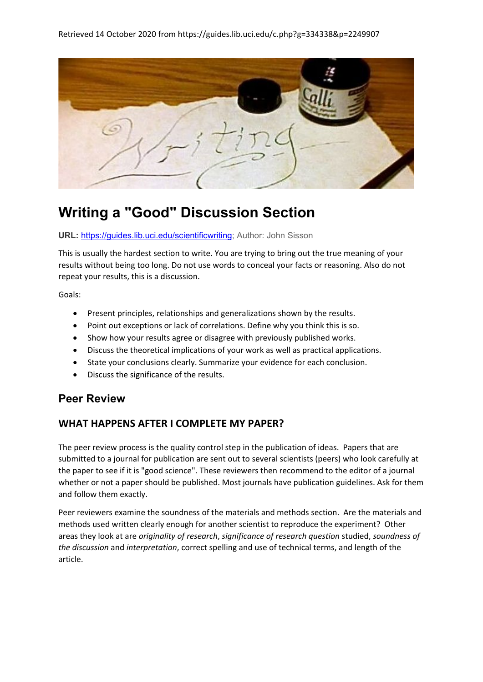

# **Writing a "Good" Discussion Section**

**URL:** [https://guides.lib.uci.edu/scientificwriting;](https://guides.lib.uci.edu/scientificwriting) Author: John Sisson

This is usually the hardest section to write. You are trying to bring out the true meaning of your results without being too long. Do not use words to conceal your facts or reasoning. Also do not repeat your results, this is a discussion.

Goals:

- Present principles, relationships and generalizations shown by the results.
- Point out exceptions or lack of correlations. Define why you think this is so.
- Show how your results agree or disagree with previously published works.
- Discuss the theoretical implications of your work as well as practical applications.
- State your conclusions clearly. Summarize your evidence for each conclusion.
- Discuss the significance of the results.

## **Peer Review**

#### **WHAT HAPPENS AFTER I COMPLETE MY PAPER?**

The peer review process is the quality control step in the publication of ideas. Papers that are submitted to a journal for publication are sent out to several scientists (peers) who look carefully at the paper to see if it is "good science". These reviewers then recommend to the editor of a journal whether or not a paper should be published. Most journals have publication guidelines. Ask for them and follow them exactly.

Peer reviewers examine the soundness of the materials and methods section. Are the materials and methods used written clearly enough for another scientist to reproduce the experiment? Other areas they look at are *originality of research*, *significance of research question* studied, *soundness of the discussion* and *interpretation*, correct spelling and use of technical terms, and length of the article.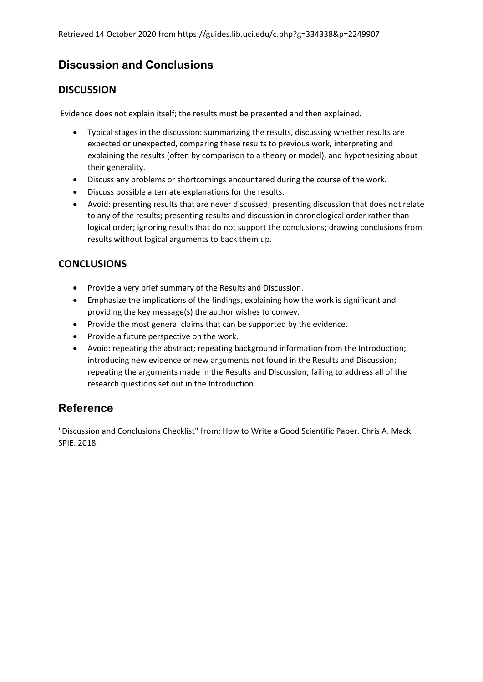# **Discussion and Conclusions**

## **DISCUSSION**

Evidence does not explain itself; the results must be presented and then explained.

- Typical stages in the discussion: summarizing the results, discussing whether results are expected or unexpected, comparing these results to previous work, interpreting and explaining the results (often by comparison to a theory or model), and hypothesizing about their generality.
- Discuss any problems or shortcomings encountered during the course of the work.
- Discuss possible alternate explanations for the results.
- Avoid: presenting results that are never discussed; presenting discussion that does not relate to any of the results; presenting results and discussion in chronological order rather than logical order; ignoring results that do not support the conclusions; drawing conclusions from results without logical arguments to back them up.

## **CONCLUSIONS**

- Provide a very brief summary of the Results and Discussion.
- Emphasize the implications of the findings, explaining how the work is significant and providing the key message(s) the author wishes to convey.
- Provide the most general claims that can be supported by the evidence.
- Provide a future perspective on the work.
- Avoid: repeating the abstract; repeating background information from the Introduction; introducing new evidence or new arguments not found in the Results and Discussion; repeating the arguments made in the Results and Discussion; failing to address all of the research questions set out in the Introduction.

# **Reference**

"Discussion and Conclusions Checklist" from: How to Write a Good Scientific Paper. Chris A. Mack. SPIE. 2018.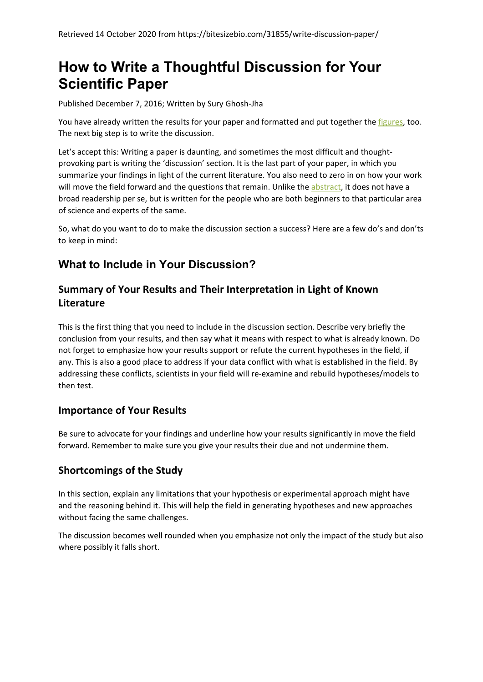# **How to Write a Thoughtful Discussion for Your Scientific Paper**

Published December 7, 2016; Written by Sury Ghosh-Jha

You have already written the results for your paper and formatted and put together the [figures,](https://bitesizebio.com/8110/how-to-make-figures-right-the-first-time/) too. The next big step is to write the discussion.

Let's accept this: Writing a paper is daunting, and sometimes the most difficult and thoughtprovoking part is writing the 'discussion' section. It is the last part of your paper, in which you summarize your findings in light of the current literature. You also need to zero in on how your work will move the field forward and the questions that remain. Unlike the [abstract,](https://bitesizebio.com/13661/how-to-write-an-awesome-abstract/) it does not have a broad readership per se, but is written for the people who are both beginners to that particular area of science and experts of the same.

So, what do you want to do to make the discussion section a success? Here are a few do's and don'ts to keep in mind:

# **What to Include in Your Discussion?**

# **Summary of Your Results and Their Interpretation in Light of Known Literature**

This is the first thing that you need to include in the discussion section. Describe very briefly the conclusion from your results, and then say what it means with respect to what is already known. Do not forget to emphasize how your results support or refute the current hypotheses in the field, if any. This is also a good place to address if your data conflict with what is established in the field. By addressing these conflicts, scientists in your field will re-examine and rebuild hypotheses/models to then test.

## **Importance of Your Results**

Be sure to advocate for your findings and underline how your results significantly in move the field forward. Remember to make sure you give your results their due and not undermine them.

# **Shortcomings of the Study**

In this section, explain any limitations that your hypothesis or experimental approach might have and the reasoning behind it. This will help the field in generating hypotheses and new approaches without facing the same challenges.

The discussion becomes well rounded when you emphasize not only the impact of the study but also where possibly it falls short.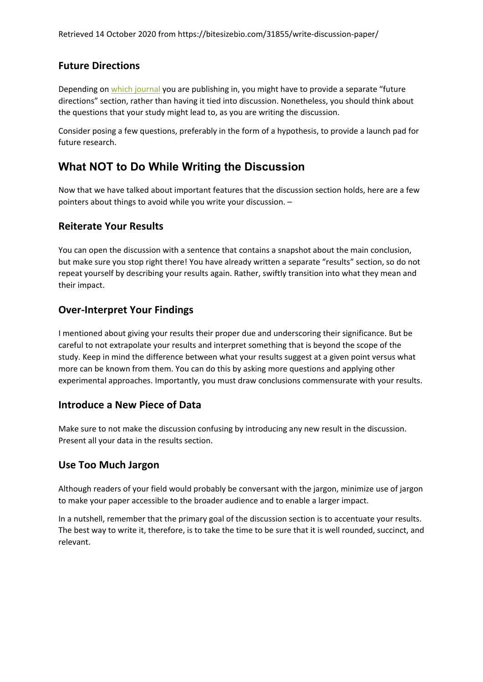## **Future Directions**

Depending on which [journal](https://bitesizebio.com/webinar/20596/choosing-the-best-journal-for-your-paper/) you are publishing in, you might have to provide a separate "future directions" section, rather than having it tied into discussion. Nonetheless, you should think about the questions that your study might lead to, as you are writing the discussion.

Consider posing a few questions, preferably in the form of a hypothesis, to provide a launch pad for future research.

# **What NOT to Do While Writing the Discussion**

Now that we have talked about important features that the discussion section holds, here are a few pointers about things to avoid while you write your discussion. –

## **Reiterate Your Results**

You can open the discussion with a sentence that contains a snapshot about the main conclusion, but make sure you stop right there! You have already written a separate "results" section, so do not repeat yourself by describing your results again. Rather, swiftly transition into what they mean and their impact.

## **Over-Interpret Your Findings**

I mentioned about giving your results their proper due and underscoring their significance. But be careful to not extrapolate your results and interpret something that is beyond the scope of the study. Keep in mind the difference between what your results suggest at a given point versus what more can be known from them. You can do this by asking more questions and applying other experimental approaches. Importantly, you must draw conclusions commensurate with your results.

#### **Introduce a New Piece of Data**

Make sure to not make the discussion confusing by introducing any new result in the discussion. Present all your data in the results section.

## **Use Too Much Jargon**

Although readers of your field would probably be conversant with the jargon, minimize use of jargon to make your paper accessible to the broader audience and to enable a larger impact.

In a nutshell, remember that the primary goal of the discussion section is to accentuate your results. The best way to write it, therefore, is to take the time to be sure that it is well rounded, succinct, and relevant.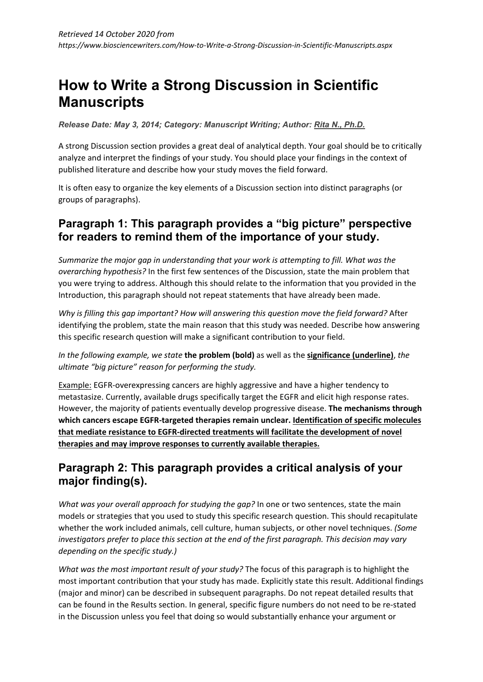# **How to Write a Strong Discussion in Scientific Manuscripts**

*Release Date: May 3, 2014; Category: Manuscript Writing; Author: Rita N., [Ph.D.](https://www.biosciencewriters.com/ScientificEditorProfile.aspx?eid=6652)*

A strong Discussion section provides a great deal of analytical depth. Your goal should be to critically analyze and interpret the findings of your study. You should place your findings in the context of published literature and describe how your study moves the field forward.

It is often easy to organize the key elements of a Discussion section into distinct paragraphs (or groups of paragraphs).

# **Paragraph 1: This paragraph provides a "big picture" perspective for readers to remind them of the importance of your study.**

*Summarize the major gap in understanding that your work is attempting to fill. What was the overarching hypothesis?* In the first few sentences of the Discussion, state the main problem that you were trying to address. Although this should relate to the information that you provided in the Introduction, this paragraph should not repeat statements that have already been made.

*Why is filling this gap important? How will answering this question move the field forward?* After identifying the problem, state the main reason that this study was needed. Describe how answering this specific research question will make a significant contribution to your field.

*In the following example, we state* **the problem (bold)** as well as the **significance (underline)**, *the ultimate "big picture" reason for performing the study.*

Example: EGFR-overexpressing cancers are highly aggressive and have a higher tendency to metastasize. Currently, available drugs specifically target the EGFR and elicit high response rates. However, the majority of patients eventually develop progressive disease. **The mechanisms through which cancers escape EGFR-targeted therapies remain unclear. Identification of specific molecules that mediate resistance to EGFR-directed treatments will facilitate the development of novel therapies and may improve responses to currently available therapies.**

# **Paragraph 2: This paragraph provides a critical analysis of your major finding(s).**

*What was your overall approach for studying the gap?* In one or two sentences, state the main models or strategies that you used to study this specific research question. This should recapitulate whether the work included animals, cell culture, human subjects, or other novel techniques. *(Some investigators prefer to place this section at the end of the first paragraph. This decision may vary depending on the specific study.)*

*What was the most important result of your study?* The focus of this paragraph is to highlight the most important contribution that your study has made. Explicitly state this result. Additional findings (major and minor) can be described in subsequent paragraphs. Do not repeat detailed results that can be found in the Results section. In general, specific figure numbers do not need to be re-stated in the Discussion unless you feel that doing so would substantially enhance your argument or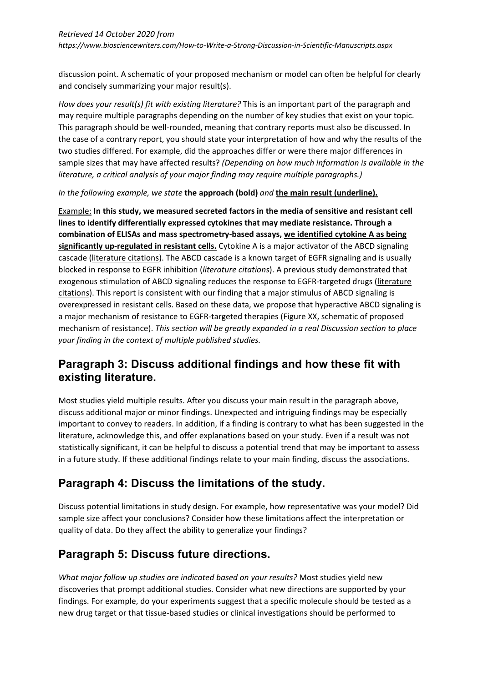discussion point. A schematic of your proposed mechanism or model can often be helpful for clearly and concisely summarizing your major result(s).

*How does your result(s) fit with existing literature?* This is an important part of the paragraph and may require multiple paragraphs depending on the number of key studies that exist on your topic. This paragraph should be well-rounded, meaning that contrary reports must also be discussed. In the case of a contrary report, you should state your interpretation of how and why the results of the two studies differed. For example, did the approaches differ or were there major differences in sample sizes that may have affected results? *(Depending on how much information is available in the literature, a critical analysis of your major finding may require multiple paragraphs.)*

*In the following example, we state* **the approach (bold)** *and* **the main result (underline).**

Example: **In this study, we measured secreted factors in the media of sensitive and resistant cell lines to identify differentially expressed cytokines that may mediate resistance. Through a combination of ELISAs and mass spectrometry-based assays, we identified cytokine A as being significantly up-regulated in resistant cells.** Cytokine A is a major activator of the ABCD signaling cascade (literature citations). The ABCD cascade is a known target of EGFR signaling and is usually blocked in response to EGFR inhibition (*literature citations*). A previous study demonstrated that exogenous stimulation of ABCD signaling reduces the response to EGFR-targeted drugs (literature citations). This report is consistent with our finding that a major stimulus of ABCD signaling is overexpressed in resistant cells. Based on these data, we propose that hyperactive ABCD signaling is a major mechanism of resistance to EGFR-targeted therapies (Figure XX, schematic of proposed mechanism of resistance). *This section will be greatly expanded in a real Discussion section to place your finding in the context of multiple published studies.*

# **Paragraph 3: Discuss additional findings and how these fit with existing literature.**

Most studies yield multiple results. After you discuss your main result in the paragraph above, discuss additional major or minor findings. Unexpected and intriguing findings may be especially important to convey to readers. In addition, if a finding is contrary to what has been suggested in the literature, acknowledge this, and offer explanations based on your study. Even if a result was not statistically significant, it can be helpful to discuss a potential trend that may be important to assess in a future study. If these additional findings relate to your main finding, discuss the associations.

# **Paragraph 4: Discuss the limitations of the study.**

Discuss potential limitations in study design. For example, how representative was your model? Did sample size affect your conclusions? Consider how these limitations affect the interpretation or quality of data. Do they affect the ability to generalize your findings?

# **Paragraph 5: Discuss future directions.**

*What major follow up studies are indicated based on your results?* Most studies yield new discoveries that prompt additional studies. Consider what new directions are supported by your findings. For example, do your experiments suggest that a specific molecule should be tested as a new drug target or that tissue-based studies or clinical investigations should be performed to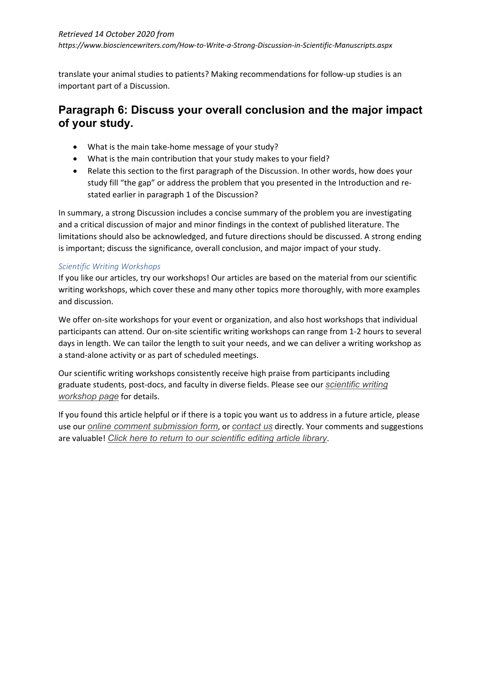translate your animal studies to patients? Making recommendations for follow-up studies is an important part of a Discussion.

# **Paragraph 6: Discuss your overall conclusion and the major impact of your study.**

- What is the main take-home message of your study?
- What is the main contribution that your study makes to your field?
- Relate this section to the first paragraph of the Discussion. In other words, how does your study fill "the gap" or address the problem that you presented in the Introduction and restated earlier in paragraph 1 of the Discussion?

In summary, a strong Discussion includes a concise summary of the problem you are investigating and a critical discussion of major and minor findings in the context of published literature. The limitations should also be acknowledged, and future directions should be discussed. A strong ending is important; discuss the significance, overall conclusion, and major impact of your study.

#### *Scientific Writing Workshops*

If you like our articles, try our workshops! Our articles are based on the material from our scientific writing workshops, which cover these and many other topics more thoroughly, with more examples and discussion.

We offer on-site workshops for your event or organization, and also host workshops that individual participants can attend. Our on-site scientific writing workshops can range from 1-2 hours to several days in length. We can tailor the length to suit your needs, and we can deliver a writing workshop as a stand-alone activity or as part of scheduled meetings.

Our scientific writing workshops consistently receive high praise from participants including graduate students, post-docs, and faculty in diverse fields. Please see our *[scientific](https://www.biosciencewriters.com/TrainingInScienceCommunication.aspx) writing [workshop](https://www.biosciencewriters.com/TrainingInScienceCommunication.aspx) page* for details.

If you found this article helpful or if there is a topic you want us to address in a future article, please use our *online comment [submission](https://www.biosciencewriters.com/EditingFeedback.aspx) form*, or *[contact](https://www.biosciencewriters.com/EditingContact.aspx) us* directly. Your comments and suggestions are valuable! *Click here to return to our [scientific](https://www.biosciencewriters.com/EditingArticleLibrary.aspx) editing article library*.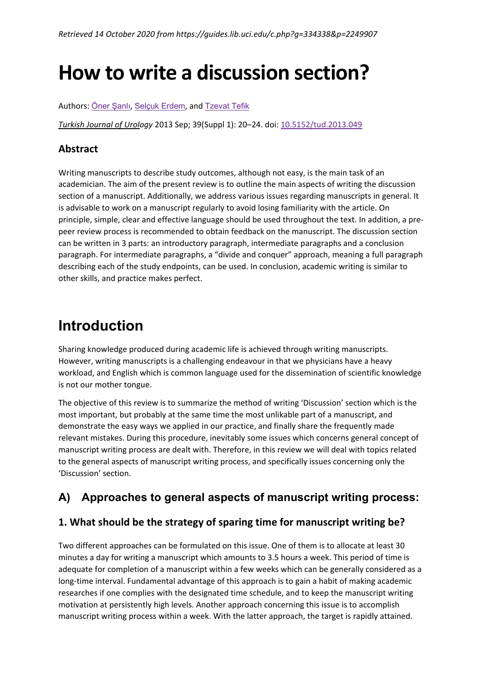# **How to write a discussion section?**

Authors: Öner [Şanlı](https://www.ncbi.nlm.nih.gov/pubmed/?term=%26%23x0015e%3Banl%26%23x00131%3B%20%26%23x000d6%3B%5BAuthor%5D&cauthor=true&cauthor_uid=26328131), [Selçuk](https://www.ncbi.nlm.nih.gov/pubmed/?term=Erdem%20S%5BAuthor%5D&cauthor=true&cauthor_uid=26328131) Erdem, and [Tzevat](https://www.ncbi.nlm.nih.gov/pubmed/?term=Tefik%20T%5BAuthor%5D&cauthor=true&cauthor_uid=26328131) Tefik

*Turkish Journal of Urology* 2013 Sep; 39(Suppl 1): 20–24. doi: [10.5152/tud.2013.049](https://dx.doi.org/10.5152%2Ftud.2013.049)

## **Abstract**

Writing manuscripts to describe study outcomes, although not easy, is the main task of an academician. The aim of the present review is to outline the main aspects of writing the discussion section of a manuscript. Additionally, we address various issues regarding manuscripts in general. It is advisable to work on a manuscript regularly to avoid losing familiarity with the article. On principle, simple, clear and effective language should be used throughout the text. In addition, a prepeer review process is recommended to obtain feedback on the manuscript. The discussion section can be written in 3 parts: an introductory paragraph, intermediate paragraphs and a conclusion paragraph. For intermediate paragraphs, a "divide and conquer" approach, meaning a full paragraph describing each of the study endpoints, can be used. In conclusion, academic writing is similar to other skills, and practice makes perfect.

# **Introduction**

Sharing knowledge produced during academic life is achieved through writing manuscripts. However, writing manuscripts is a challenging endeavour in that we physicians have a heavy workload, and English which is common language used for the dissemination of scientific knowledge is not our mother tongue.

The objective of this review is to summarize the method of writing 'Discussion' section which is the most important, but probably at the same time the most unlikable part of a manuscript, and demonstrate the easy ways we applied in our practice, and finally share the frequently made relevant mistakes. During this procedure, inevitably some issues which concerns general concept of manuscript writing process are dealt with. Therefore, in this review we will deal with topics related to the general aspects of manuscript writing process, and specifically issues concerning only the 'Discussion' section.

# **A) Approaches to general aspects of manuscript writing process:**

# **1. What should be the strategy of sparing time for manuscript writing be?**

Two different approaches can be formulated on this issue. One of them is to allocate at least 30 minutes a day for writing a manuscript which amounts to 3.5 hours a week. This period of time is adequate for completion of a manuscript within a few weeks which can be generally considered as a long-time interval. Fundamental advantage of this approach is to gain a habit of making academic researches if one complies with the designated time schedule, and to keep the manuscript writing motivation at persistently high levels. Another approach concerning this issue is to accomplish manuscript writing process within a week. With the latter approach, the target is rapidly attained.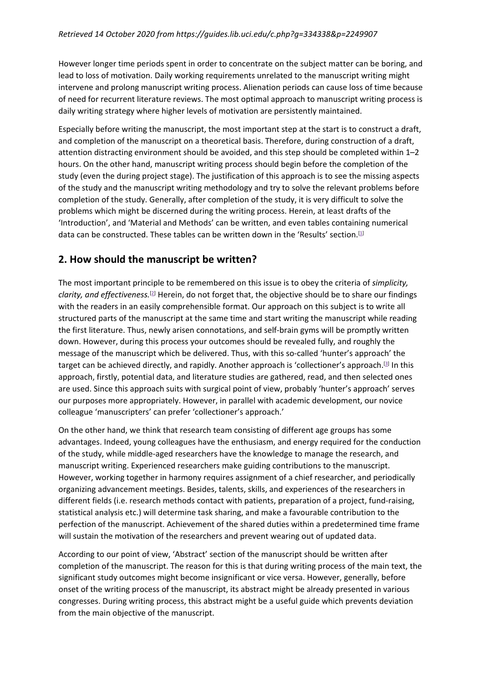However longer time periods spent in order to concentrate on the subject matter can be boring, and lead to loss of motivation. Daily working requirements unrelated to the manuscript writing might intervene and prolong manuscript writing process. Alienation periods can cause loss of time because of need for recurrent literature reviews. The most optimal approach to manuscript writing process is daily writing strategy where higher levels of motivation are persistently maintained.

Especially before writing the manuscript, the most important step at the start is to construct a draft, and completion of the manuscript on a theoretical basis. Therefore, during construction of a draft, attention distracting environment should be avoided, and this step should be completed within 1–2 hours. On the other hand, manuscript writing process should begin before the completion of the study (even the during project stage). The justification of this approach is to see the missing aspects of the study and the manuscript writing methodology and try to solve the relevant problems before completion of the study. Generally, after completion of the study, it is very difficult to solve the problems which might be discerned during the writing process. Herein, at least drafts of the 'Introduction', and 'Material and Methods' can be written, and even tables containing numerical data can be constructed. These tables can be written down in the 'Results' section[.\[1\]](https://www.ncbi.nlm.nih.gov/pmc/articles/PMC4548568/#b1-tju-39-supp-20)

## **2. How should the manuscript be written?**

The most important principle to be remembered on this issue is to obey the criteria of *simplicity, clarity, and effectiveness.*[\[2\]](https://www.ncbi.nlm.nih.gov/pmc/articles/PMC4548568/#b2-tju-39-supp-20) Herein, do not forget that, the objective should be to share our findings with the readers in an easily comprehensible format. Our approach on this subject is to write all structured parts of the manuscript at the same time and start writing the manuscript while reading the first literature. Thus, newly arisen connotations, and self-brain gyms will be promptly written down. However, during this process your outcomes should be revealed fully, and roughly the message of the manuscript which be delivered. Thus, with this so-called 'hunter's approach' the target can be achieved directly, and rapidly. Another approach is 'collectioner's approach.[\[3\]](https://www.ncbi.nlm.nih.gov/pmc/articles/PMC4548568/#b3-tju-39-supp-20) In this approach, firstly, potential data, and literature studies are gathered, read, and then selected ones are used. Since this approach suits with surgical point of view, probably 'hunter's approach' serves our purposes more appropriately. However, in parallel with academic development, our novice colleague 'manuscripters' can prefer 'collectioner's approach.'

On the other hand, we think that research team consisting of different age groups has some advantages. Indeed, young colleagues have the enthusiasm, and energy required for the conduction of the study, while middle-aged researchers have the knowledge to manage the research, and manuscript writing. Experienced researchers make guiding contributions to the manuscript. However, working together in harmony requires assignment of a chief researcher, and periodically organizing advancement meetings. Besides, talents, skills, and experiences of the researchers in different fields (i.e. research methods contact with patients, preparation of a project, fund-raising, statistical analysis etc.) will determine task sharing, and make a favourable contribution to the perfection of the manuscript. Achievement of the shared duties within a predetermined time frame will sustain the motivation of the researchers and prevent wearing out of updated data.

According to our point of view, 'Abstract' section of the manuscript should be written after completion of the manuscript. The reason for this is that during writing process of the main text, the significant study outcomes might become insignificant or vice versa. However, generally, before onset of the writing process of the manuscript, its abstract might be already presented in various congresses. During writing process, this abstract might be a useful guide which prevents deviation from the main objective of the manuscript.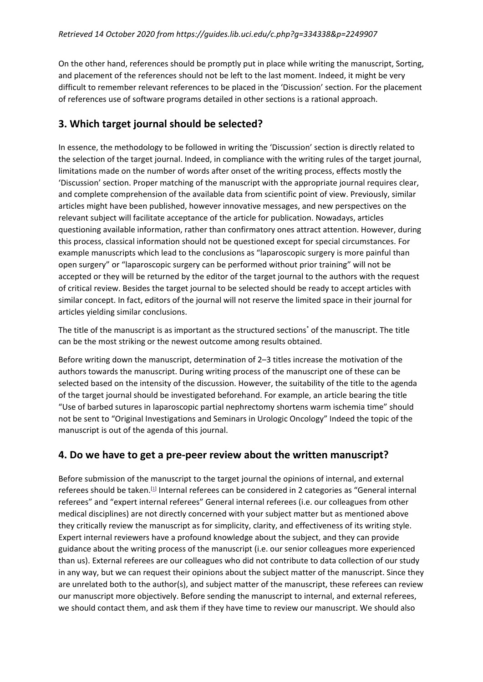On the other hand, references should be promptly put in place while writing the manuscript, Sorting, and placement of the references should not be left to the last moment. Indeed, it might be very difficult to remember relevant references to be placed in the 'Discussion' section. For the placement of references use of software programs detailed in other sections is a rational approach.

# **3. Which target journal should be selected?**

In essence, the methodology to be followed in writing the 'Discussion' section is directly related to the selection of the target journal. Indeed, in compliance with the writing rules of the target journal, limitations made on the number of words after onset of the writing process, effects mostly the 'Discussion' section. Proper matching of the manuscript with the appropriate journal requires clear, and complete comprehension of the available data from scientific point of view. Previously, similar articles might have been published, however innovative messages, and new perspectives on the relevant subject will facilitate acceptance of the article for publication. Nowadays, articles questioning available information, rather than confirmatory ones attract attention. However, during this process, classical information should not be questioned except for special circumstances. For example manuscripts which lead to the conclusions as "laparoscopic surgery is more painful than open surgery" or "laparoscopic surgery can be performed without prior training" will not be accepted or they will be returned by the editor of the target journal to the authors with the request of critical review. Besides the target journal to be selected should be ready to accept articles with similar concept. In fact, editors of the journal will not reserve the limited space in their journal for articles yielding similar conclusions.

The title of the manuscript is as important as the structured sections\* of the manuscript. The title can be the most striking or the newest outcome among results obtained.

Before writing down the manuscript, determination of 2–3 titles increase the motivation of the authors towards the manuscript. During writing process of the manuscript one of these can be selected based on the intensity of the discussion. However, the suitability of the title to the agenda of the target journal should be investigated beforehand. For example, an article bearing the title "Use of barbed sutures in laparoscopic partial nephrectomy shortens warm ischemia time" should not be sent to "Original Investigations and Seminars in Urologic Oncology" Indeed the topic of the manuscript is out of the agenda of this journal.

## **4. Do we have to get a pre-peer review about the written manuscript?**

Before submission of the manuscript to the target journal the opinions of internal, and external referees should be taken.[\[1\]](https://www.ncbi.nlm.nih.gov/pmc/articles/PMC4548568/#b1-tju-39-supp-20) Internal referees can be considered in 2 categories as "General internal referees" and "expert internal referees" General internal referees (i.e. our colleagues from other medical disciplines) are not directly concerned with your subject matter but as mentioned above they critically review the manuscript as for simplicity, clarity, and effectiveness of its writing style. Expert internal reviewers have a profound knowledge about the subject, and they can provide guidance about the writing process of the manuscript (i.e. our senior colleagues more experienced than us). External referees are our colleagues who did not contribute to data collection of our study in any way, but we can request their opinions about the subject matter of the manuscript. Since they are unrelated both to the author(s), and subject matter of the manuscript, these referees can review our manuscript more objectively. Before sending the manuscript to internal, and external referees, we should contact them, and ask them if they have time to review our manuscript. We should also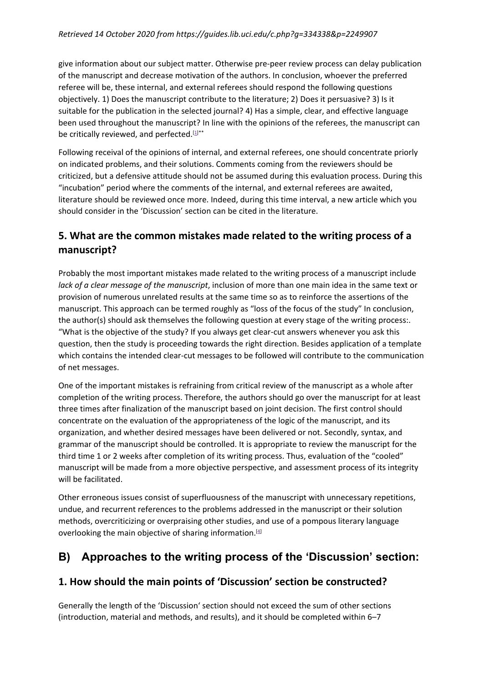give information about our subject matter. Otherwise pre-peer review process can delay publication of the manuscript and decrease motivation of the authors. In conclusion, whoever the preferred referee will be, these internal, and external referees should respond the following questions objectively. 1) Does the manuscript contribute to the literature; 2) Does it persuasive? 3) Is it suitable for the publication in the selected journal? 4) Has a simple, clear, and effective language been used throughout the manuscript? In line with the opinions of the referees, the manuscript can be critically reviewed, and perfected.<sup>[1]\*\*</sup>

Following receival of the opinions of internal, and external referees, one should concentrate priorly on indicated problems, and their solutions. Comments coming from the reviewers should be criticized, but a defensive attitude should not be assumed during this evaluation process. During this "incubation" period where the comments of the internal, and external referees are awaited, literature should be reviewed once more. Indeed, during this time interval, a new article which you should consider in the 'Discussion' section can be cited in the literature.

# **5. What are the common mistakes made related to the writing process of a manuscript?**

Probably the most important mistakes made related to the writing process of a manuscript include *lack of a clear message of the manuscript*, inclusion of more than one main idea in the same text or provision of numerous unrelated results at the same time so as to reinforce the assertions of the manuscript. This approach can be termed roughly as "loss of the focus of the study" In conclusion, the author(s) should ask themselves the following question at every stage of the writing process:. "What is the objective of the study? If you always get clear-cut answers whenever you ask this question, then the study is proceeding towards the right direction. Besides application of a template which contains the intended clear-cut messages to be followed will contribute to the communication of net messages.

One of the important mistakes is refraining from critical review of the manuscript as a whole after completion of the writing process. Therefore, the authors should go over the manuscript for at least three times after finalization of the manuscript based on joint decision. The first control should concentrate on the evaluation of the appropriateness of the logic of the manuscript, and its organization, and whether desired messages have been delivered or not. Secondly, syntax, and grammar of the manuscript should be controlled. It is appropriate to review the manuscript for the third time 1 or 2 weeks after completion of its writing process. Thus, evaluation of the "cooled" manuscript will be made from a more objective perspective, and assessment process of its integrity will be facilitated.

Other erroneous issues consist of superfluousness of the manuscript with unnecessary repetitions, undue, and recurrent references to the problems addressed in the manuscript or their solution methods, overcriticizing or overpraising other studies, and use of a pompous literary language overlooking the main objective of sharing information[.\[4\]](https://www.ncbi.nlm.nih.gov/pmc/articles/PMC4548568/#b4-tju-39-supp-20)

# **B) Approaches to the writing process of the 'Discussion' section:**

# **1. How should the main points of 'Discussion' section be constructed?**

Generally the length of the 'Discussion' section should not exceed the sum of other sections (introduction, material and methods, and results), and it should be completed within 6–7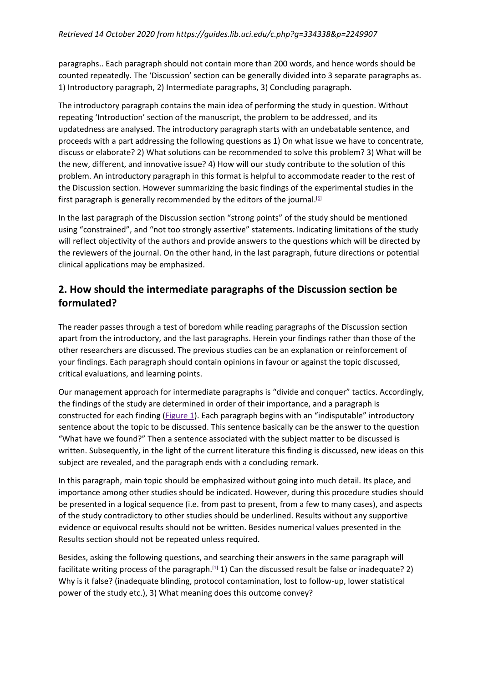paragraphs.. Each paragraph should not contain more than 200 words, and hence words should be counted repeatedly. The 'Discussion' section can be generally divided into 3 separate paragraphs as. 1) Introductory paragraph, 2) Intermediate paragraphs, 3) Concluding paragraph.

The introductory paragraph contains the main idea of performing the study in question. Without repeating 'Introduction' section of the manuscript, the problem to be addressed, and its updatedness are analysed. The introductory paragraph starts with an undebatable sentence, and proceeds with a part addressing the following questions as 1) On what issue we have to concentrate, discuss or elaborate? 2) What solutions can be recommended to solve this problem? 3) What will be the new, different, and innovative issue? 4) How will our study contribute to the solution of this problem. An introductory paragraph in this format is helpful to accommodate reader to the rest of the Discussion section. However summarizing the basic findings of the experimental studies in the first paragraph is generally recommended by the editors of the journal.<sup>[5]</sup>

In the last paragraph of the Discussion section "strong points" of the study should be mentioned using "constrained", and "not too strongly assertive" statements. Indicating limitations of the study will reflect objectivity of the authors and provide answers to the questions which will be directed by the reviewers of the journal. On the other hand, in the last paragraph, future directions or potential clinical applications may be emphasized.

# **2. How should the intermediate paragraphs of the Discussion section be formulated?**

The reader passes through a test of boredom while reading paragraphs of the Discussion section apart from the introductory, and the last paragraphs. Herein your findings rather than those of the other researchers are discussed. The previous studies can be an explanation or reinforcement of your findings. Each paragraph should contain opinions in favour or against the topic discussed, critical evaluations, and learning points.

Our management approach for intermediate paragraphs is "divide and conquer" tactics. Accordingly, the findings of the study are determined in order of their importance, and a paragraph is constructed for each finding [\(Figure](https://www.ncbi.nlm.nih.gov/pmc/articles/PMC4548568/figure/f1-tju-39-supp-20/) 1). Each paragraph begins with an "indisputable" introductory sentence about the topic to be discussed. This sentence basically can be the answer to the question "What have we found?" Then a sentence associated with the subject matter to be discussed is written. Subsequently, in the light of the current literature this finding is discussed, new ideas on this subject are revealed, and the paragraph ends with a concluding remark.

In this paragraph, main topic should be emphasized without going into much detail. Its place, and importance among other studies should be indicated. However, during this procedure studies should be presented in a logical sequence (i.e. from past to present, from a few to many cases), and aspects of the study contradictory to other studies should be underlined. Results without any supportive evidence or equivocal results should not be written. Besides numerical values presented in the Results section should not be repeated unless required.

Besides, asking the following questions, and searching their answers in the same paragraph will facilitate writing process of the paragraph.<sup>[\[1\]](https://www.ncbi.nlm.nih.gov/pmc/articles/PMC4548568/#b1-tju-39-supp-20)</sup> 1) Can the discussed result be false or inadequate? 2) Why is it false? (inadequate blinding, protocol contamination, lost to follow-up, lower statistical power of the study etc.), 3) What meaning does this outcome convey?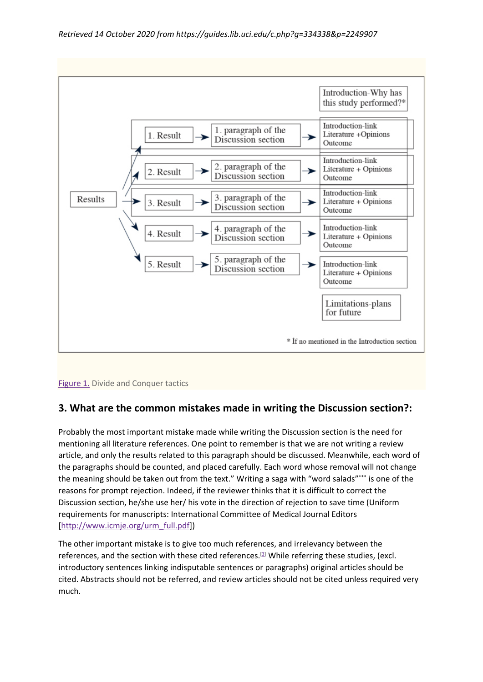



# **3. What are the common mistakes made in writing the Discussion section?:**

Probably the most important mistake made while writing the Discussion section is the need for mentioning all literature references. One point to remember is that we are not writing a review article, and only the results related to this paragraph should be discussed. Meanwhile, each word of the paragraphs should be counted, and placed carefully. Each word whose removal will not change the meaning should be taken out from the text." Writing a saga with "word salads"\*\*\* is one of the reasons for prompt rejection. Indeed, if the reviewer thinks that it is difficult to correct the Discussion section, he/she use her/ his vote in the direction of rejection to save time (Uniform requirements for manuscripts: International Committee of Medical Journal Editors [\[http://www.icmje.org/urm\\_full.pdf\]](http://www.icmje.org/urm_full.pdf))

The other important mistake is to give too much references, and irrelevancy between the references, and the section with these cited references.<sup>[\[3\]](https://www.ncbi.nlm.nih.gov/pmc/articles/PMC4548568/#b3-tju-39-supp-20)</sup> While referring these studies, (excl. introductory sentences linking indisputable sentences or paragraphs) original articles should be cited. Abstracts should not be referred, and review articles should not be cited unless required very much.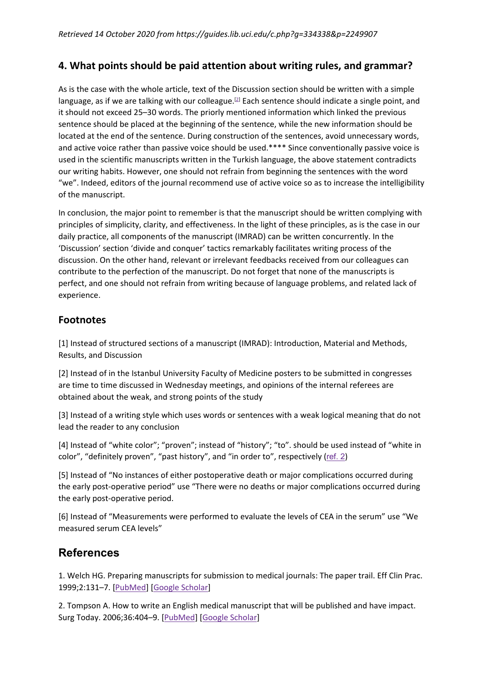# **4. What points should be paid attention about writing rules, and grammar?**

As is the case with the whole article, text of the Discussion section should be written with a simple language, as if we are talking with our colleague.<sup>[2]</sup> Each sentence should indicate a single point, and it should not exceed 25–30 words. The priorly mentioned information which linked the previous sentence should be placed at the beginning of the sentence, while the new information should be located at the end of the sentence. During construction of the sentences, avoid unnecessary words, and active voice rather than passive voice should be used.\*\*\*\* Since conventionally passive voice is used in the scientific manuscripts written in the Turkish language, the above statement contradicts our writing habits. However, one should not refrain from beginning the sentences with the word "we". Indeed, editors of the journal recommend use of active voice so as to increase the intelligibility of the manuscript.

In conclusion, the major point to remember is that the manuscript should be written complying with principles of simplicity, clarity, and effectiveness. In the light of these principles, as is the case in our daily practice, all components of the manuscript (IMRAD) can be written concurrently. In the 'Discussion' section 'divide and conquer' tactics remarkably facilitates writing process of the discussion. On the other hand, relevant or irrelevant feedbacks received from our colleagues can contribute to the perfection of the manuscript. Do not forget that none of the manuscripts is perfect, and one should not refrain from writing because of language problems, and related lack of experience.

# **Footnotes**

[1] Instead of structured sections of a manuscript (IMRAD): Introduction, Material and Methods, Results, and Discussion

[2] Instead of in the Istanbul University Faculty of Medicine posters to be submitted in congresses are time to time discussed in Wednesday meetings, and opinions of the internal referees are obtained about the weak, and strong points of the study

[3] Instead of a writing style which uses words or sentences with a weak logical meaning that do not lead the reader to any conclusion

[4] Instead of "white color"; "proven"; instead of "history"; "to". should be used instead of "white in color", "definitely proven", "past history", and "in order to", respectively ([ref.](https://www.ncbi.nlm.nih.gov/pmc/articles/PMC4548568/#b2-tju-39-supp-20) 2)

[5] Instead of "No instances of either postoperative death or major complications occurred during the early post-operative period" use "There were no deaths or major complications occurred during the early post-operative period.

[6] Instead of "Measurements were performed to evaluate the levels of CEA in the serum" use "We measured serum CEA levels"

# **References**

1. Welch HG. Preparing manuscripts for submission to medical journals: The paper trail. Eff Clin Prac. 1999;2:131–7. [\[PubMed\]](https://www.ncbi.nlm.nih.gov/pubmed/10538262) [Google [Scholar\]](https://scholar.google.com/scholar_lookup?journal=Eff+Clin+Prac&title=Preparing+manuscripts+for+submission+to+medical+journals:+The+paper+trail&author=HG+Welch&volume=2&publication_year=1999&pages=131-7&)

2. Tompson A. How to write an English medical manuscript that will be published and have impact. Surg Today. 2006;36:404–9. [\[PubMed\]](https://www.ncbi.nlm.nih.gov/pubmed/16633745) [Google [Scholar\]](https://scholar.google.com/scholar_lookup?journal=Surg+Today&title=How+to+write+an+English+medical+manuscript+that+will+be+published+and+have+impact&author=A+Tompson&volume=36&publication_year=2006&pages=404-9&)